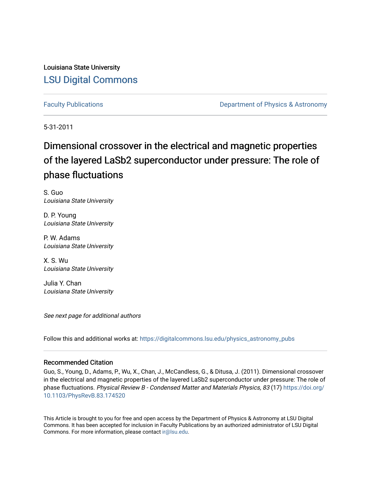Louisiana State University [LSU Digital Commons](https://digitalcommons.lsu.edu/)

[Faculty Publications](https://digitalcommons.lsu.edu/physics_astronomy_pubs) **Exercise 2 and Table 2 and Table 2 and Table 2 and Table 2 and Table 2 and Table 2 and Table 2 and Table 2 and Table 2 and Table 2 and Table 2 and Table 2 and Table 2 and Table 2 and Table 2 and Table** 

5-31-2011

# Dimensional crossover in the electrical and magnetic properties of the layered LaSb2 superconductor under pressure: The role of phase fluctuations

S. Guo Louisiana State University

D. P. Young Louisiana State University

P. W. Adams Louisiana State University

X. S. Wu Louisiana State University

Julia Y. Chan Louisiana State University

See next page for additional authors

Follow this and additional works at: [https://digitalcommons.lsu.edu/physics\\_astronomy\\_pubs](https://digitalcommons.lsu.edu/physics_astronomy_pubs?utm_source=digitalcommons.lsu.edu%2Fphysics_astronomy_pubs%2F80&utm_medium=PDF&utm_campaign=PDFCoverPages) 

## Recommended Citation

Guo, S., Young, D., Adams, P., Wu, X., Chan, J., McCandless, G., & Ditusa, J. (2011). Dimensional crossover in the electrical and magnetic properties of the layered LaSb2 superconductor under pressure: The role of phase fluctuations. Physical Review B - Condensed Matter and Materials Physics, 83 (17) [https://doi.org/](https://doi.org/10.1103/PhysRevB.83.174520) [10.1103/PhysRevB.83.174520](https://doi.org/10.1103/PhysRevB.83.174520) 

This Article is brought to you for free and open access by the Department of Physics & Astronomy at LSU Digital Commons. It has been accepted for inclusion in Faculty Publications by an authorized administrator of LSU Digital Commons. For more information, please contact [ir@lsu.edu](mailto:ir@lsu.edu).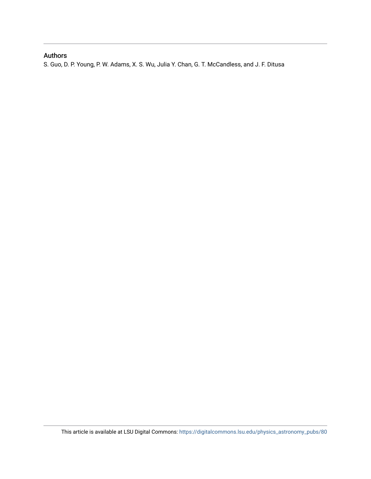## Authors

S. Guo, D. P. Young, P. W. Adams, X. S. Wu, Julia Y. Chan, G. T. McCandless, and J. F. Ditusa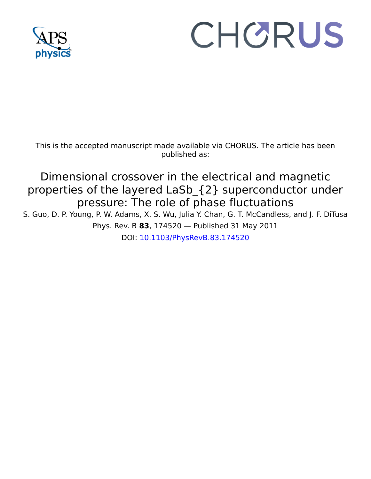

# CHORUS

This is the accepted manuscript made available via CHORUS. The article has been published as:

# Dimensional crossover in the electrical and magnetic properties of the layered LaSb\_{2} superconductor under pressure: The role of phase fluctuations

S. Guo, D. P. Young, P. W. Adams, X. S. Wu, Julia Y. Chan, G. T. McCandless, and J. F. DiTusa Phys. Rev. B **83**, 174520 — Published 31 May 2011

DOI: [10.1103/PhysRevB.83.174520](http://dx.doi.org/10.1103/PhysRevB.83.174520)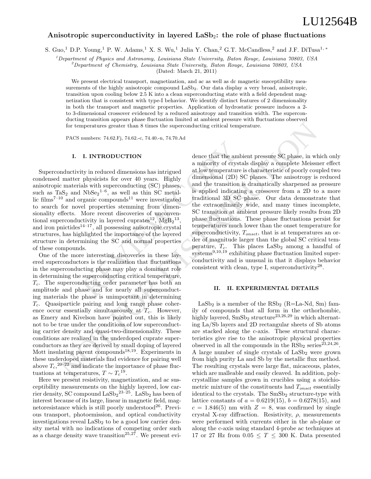### Anisotropic superconductivity in layered  $\text{LaSb}_2$ : the role of phase fluctuations

S. Guo,<sup>1</sup> D.P. Young,<sup>1</sup> P. W. Adams,<sup>1</sup> X. S. Wu,<sup>1</sup> Julia Y. Chan,<sup>2</sup> G.T. McCandless,<sup>2</sup> and J.F. DiTusa<sup>1, ∗</sup>

<sup>1</sup>Department of Physics and Astronomy, Louisiana State University, Baton Rouge, Louisiana 70803, USA

 $^{2}$ Department of Chemistry, Louisiana State University, Baton Rouge, Louisiana 70803, USA

(Dated: March 21, 2011)

We present electrical transport, magnetization, and ac as well as dc magnetic susceptibility measurements of the highly anisotropic compound LaSb<sub>2</sub>. Our data display a very broad, anisotropic, transition upon cooling below 2.5 K into a clean superconducting state with a field dependent magnetization that is consistent with type-I behavior. We identify distinct features of 2 dimensionality in both the transport and magnetic properties. Application of hydrostatic pressure induces a 2 to 3-dimensional crossover evidenced by a reduced anisotropy and transition width. The superconducting transition appears phase fluctuation limited at ambient pressure with fluctuations observed for temperatures greater than 8 times the superconducting critical temperature.

PACS numbers: 74.62.Fj, 74.62.-c, 74.40.-n, 74.70.Ad

#### I. I. INTRODUCTION

**I. INTRODUCTION** dence that the ambient ambient of crystal at low temperature is physicists for over 40 years. Highly dimensional (2D) SC als with superconducting (SC) phases, and the transition is a NbSeg<sup>1-6</sup>, as well Superconductivity in reduced dimensions has intrigued condensed matter physicists for over 40 years. Highly anisotropic materials with superconducting (SC) phases, such as  $TaS_2$  and  $NbSe_2^{1-6}$ , as well as thin SC metallic films<sup>7-10</sup> and organic compounds<sup>11</sup> were investigated to search for novel properties stemming from dimensionality effects. More recent discoveries of unconventional superconductivity in layered cuprates<sup>12</sup>,  $MgB<sub>2</sub><sup>13</sup>$ , and iron pnictides $14-17$ , all possessing anisotropic crystal structures, has highlighted the importance of the layered structure in determining the SC and normal properties of these compounds.

One of the more interesting discoveries in these layered superconductors is the realization that fluctuations in the superconducting phase may play a dominant role in determining the superconducting critical temperature,  $T_c$ . The superconducting order parameter has both an amplitude and phase and for nearly all superconducting materials the phase is unimportant in determining  $T_c$ . Quasiparticle pairing and long range phase coherence occur essentially simultaneously at  $T_c$ . However, as Emery and Kivelson have pointed out, this is likely not to be true under the conditions of low superconducting carrier density and quasi-two-dimensionality. These conditions are realized in the underdoped cuprate superconductors as they are derived by small doping of layered Mott insulating parent compounds $18,19$ . Experiments in these underdoped materials find evidence for pairing well above  $T_c$ ,  $20-22$  and indicate the importance of phase fluctuations at temperatures,  $T \sim T_c^{19}$ .

Here we present resistivity, magnetization, and ac susceptibility measurements on the highly layered, low carrier density, SC compound  $\text{LaSb}_2^{\,23-25}$ . LaSb<sub>2</sub> has been of interest because of its large, linear in magnetic field, magnetoresistance which is still poorly understood<sup>26</sup>. Previous transport, photoemission, and optical conductivity investigations reveal  $\text{LaSb}_2$  to be a good low carrier density metal with no indications of competing order such as a charge density wave transition<sup>25,27</sup>. We present evi-

for temperatures greater than 8 times the anger<br>conducting critical temperature. <br>
PACS nambes 74.02-i, 74.02-c, 74.40-n, 74.70.Ad<br>
I. I. INTRODUCTION dence that the ambient pressure SC phase, in which<br>directivity in redu dence that the ambient pressure SC phase, in which only a minority of crystals display a complete Meissner effect at low temperature is characteristic of poorly coupled two dimensional (2D) SC planes. The anisotropy is reduced and the transition is dramatically sharpened as pressure is applied indicating a crossover from a 2D to a more traditional 3D SC phase. Our data demonstrate that the extraordinarily wide, and many times incomplete, SC transition at ambient pressure likely results from 2D phase fluctuations. These phase fluctuations persist for temperatures much lower than the onset temperature for superconductivity,  $T_{onset}$ , that is at temperatures an order of magnitude larger than the global SC critical temperature,  $T_c$ . This places  $\text{LaSb}_2$  among a handful of systems<sup>9,10,19</sup> exhibiting phase fluctuation limited superconductivity and is unusual in that it displays behavior consistent with clean, type I, superconductivity<sup>28</sup>.

#### II. II. EXPERIMENTAL DETAILS

 $LaSb<sub>2</sub>$  is a member of the  $RSb<sub>2</sub>$  (R=La-Nd, Sm) family of compounds that all form in the orthorhombic, highly layered,  $SmSb<sub>2</sub> structure<sup>23,26,29</sup>$  in which alternating La/Sb layers and 2D rectangular sheets of Sb atoms are stacked along the c-axis. These structural characteristics give rise to the anisotropic physical properties observed in all the compounds in the  $\text{RSb}_2$  series<sup>23,24,26</sup>. A large number of single crystals of  $\text{LaSb}_2$  were grown from high purity La and Sb by the metallic flux method. The resulting crystals were large flat, micaceous, plates, which are malleable and easily cleaved. In addition, polycrystalline samples grown in crucibles using a stoichiometric mixture of the constituents had  $T_{onset}$  essentially identical to the crystals. The  $SmSb<sub>2</sub>$  structure-type with lattice constants of  $a = 0.6219(15)$ ,  $b = 0.6278(15)$ , and  $c = 1.846(5)$  nm with  $Z = 8$ , was confirmed by single crystal X-ray diffraction. Resistivity,  $\rho$ , measurements were performed with currents either in the ab-plane or along the c-axis using standard 4-probe ac techniques at 17 or 27 Hz from  $0.05 \leq T \leq 300$  K. Data presented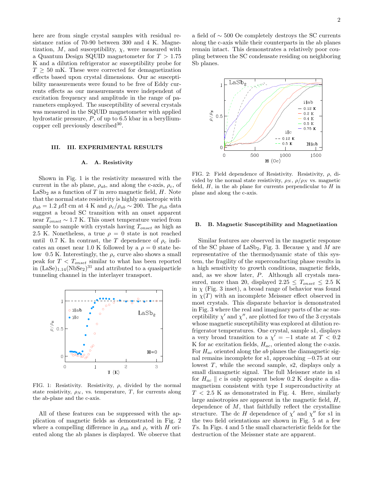here are from single crystal samples with residual resistance ratios of 70-90 between 300 and 4 K. Magnetization,  $M$ , and susceptibility,  $\chi$ , were measured with a Quantum Design SQUID magnetometer for  $T > 1.75$ K and a dilution refrigerator ac susceptibility probe for  $T \geq 50$  mK. These were corrected for demagnetization effects based upon crystal dimensions. Our ac susceptibility measurements were found to be free of Eddy currents effects as our measurements were independent of excitation frequency and amplitude in the range of parameters employed. The susceptibility of several crystals was measured in the SQUID magnetometer with applied hydrostatic pressure, P, of up to 6.5 kbar in a berylliumcopper cell previously described<sup>30</sup>.

#### III. III. EXPERIMENTAL RESULTS

#### A. A. Resistivity

Shown in Fig. 1 is the resistivity measured with the current in the ab plane,  $\rho_{ab}$ , and along the c-axis,  $\rho_c$ , of  $\operatorname{LaSb}_2$  as a function of  $T$  in zero magnetic field,  $H.$  Note that the normal state resistivity is highly anisotropic with  $\rho_{ab} = 1.2 \mu \Omega \text{ cm at 4 K and } \rho_c / \rho_{ab} \sim 200. \text{ The } \rho_{ab} \text{ data}$ suggest a broad SC transition with an onset apparent near  $T_{onset} \sim 1.7$  K. This onset temperature varied from sample to sample with crystals having  $T_{onset}$  as high as 2.5 K. Nonetheless, a true  $\rho = 0$  state is not reached until 0.7 K. In contrast, the T dependence of  $\rho_c$  indicates an onset near 1.0 K followed by a  $\rho = 0$  state below 0.5 K. Interestingly, the  $\rho_c$  curve also shows a small peak for  $T < T_{onset}$  similar to what has been reported in  $(LaSe)_{1.14}(NbSe_2)^{31}$  and attributed to a quasiparticle tunneling channel in the interlayer transport.



FIG. 1: Resistivity. Resistivity,  $\rho$ , divided by the normal state resistivity,  $\rho_N$ , vs. temperature, T, for currents along the ab-plane and the c-axis.

All of these features can be suppressed with the application of magnetic fields as demonstrated in Fig. 2 where a compelling difference in  $\rho_{ab}$  and  $\rho_c$  with H oriented along the ab planes is displayed. We observe that a field of ∼ 500 Oe completely destroys the SC currents along the c-axis while their counterparts in the ab planes remain intact. This demonstrates a relatively poor coupling between the SC condensate residing on neighboring Sb planes.



FIG. 2: Field dependence of Resistivity. Resistivity,  $\rho$ , divided by the normal state resistivity,  $\rho_N$ ,  $\rho/\rho_N$  vs. magnetic field,  $H$ , in the ab plane for currents perpendicular to  $H$  in plane and along the c-axis.

#### B. B. Magnetic Susceptibility and Magnetization

Similar features are observed in the magnetic response of the SC phase of LaSb<sub>2</sub>, Fig. 3. Because  $\chi$  and M are representative of the thermodynamic state of this system, the fragility of the superconducting phase results in a high sensitivity to growth conditions, magnetic fields, and, as we show later, P. Although all crystals measured, more than 20, displayed  $2.25 \leq T_{onset} \leq 2.5$  K in  $\chi$  (Fig. 3 inset), a broad range of behavior was found in  $\chi(T)$  with an incomplete Meissner effect observed in most crystals. This disparate behavior is demonstrated in Fig. 3 where the real and imaginary parts of the ac susceptibility  $\chi'$  and  $\chi''$ , are plotted for two of the 3 crystals whose magnetic susceptibility was explored at dilution refrigerator temperatures. One crystal, sample s1, displays a very broad transition to a  $\chi' = -1$  state at  $T < 0.2$ K for ac excitation fields,  $H_{ac}$ , oriented along the c-axis. For  $H_{ac}$  oriented along the ab planes the diamagnetic signal remains incomplete for s1, approaching −0.75 at our lowest  $T$ , while the second sample, s2, displays only a small diamagnetic signal. The full Meissner state in s1 for  $H_{ac} \parallel c$  is only apparent below 0.2 K despite a diamagnetism consistent with type I superconductivity at  $T < 2.5$  K as demonstrated in Fig. 4. Here, similarly large anisotropies are apparent in the magnetic field,  $H$ , dependence of  $M$ , that faithfully reflect the crystalline structure. The dc H dependence of  $\chi'$  and  $\chi''$  for s1 in the two field orientations are shown in Fig. 5 at a few Ts. In Figs. 4 and 5 the small characteristic fields for the destruction of the Meissner state are apparent.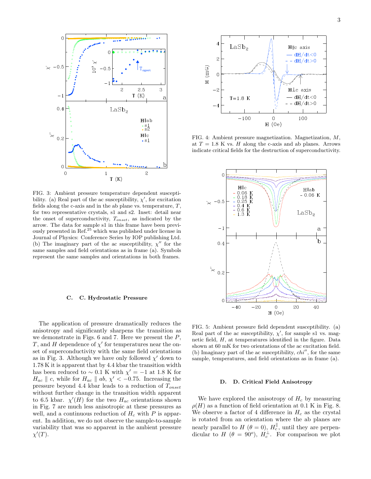

FIG. 3: Ambient pressure temperature dependent susceptibility. (a) Real part of the ac susceptibility,  $\chi'$ , for excitation fields along the c-axis and in the ab plane vs. temperature,  $T$ , for two representative crystals, s1 and s2. Inset: detail near the onset of superconductivity, Tonset, as indicated by the arrow. The data for sample s1 in this frame have been previously presented in Ref.<sup>25</sup> which was published under license in Journal of Physics: Conference Series by IOP publishing Ltd. (b) The imaginary part of the ac susceptibility,  $\chi''$  for the same samples and field orientations as in frame (a). Symbols represent the same samples and orientations in both frames.

#### C. C. Hydrostatic Pressure

The application of pressure dramatically reduces the anisotropy and significantly sharpens the transition as we demonstrate in Figs.  $6$  and  $7$ . Here we present the  $P$ , T, and H dependence of  $\chi'$  for temperatures near the onset of superconductivity with the same field orientations as in Fig. 3. Although we have only followed  $\chi'$  down to 1.78 K it is apparent that by 4.4 kbar the transition width has been reduced to ~ 0.1 K with  $\chi' = -1$  at 1.8 K for  $H_{ac} \parallel c$ , while for  $H_{ac} \parallel ab$ ,  $\chi' < -0.75$ . Increasing the pressure beyond 4.4 kbar leads to a reduction of  $T_{onset}$ without further change in the transition width apparent to 6.5 kbar.  $\chi'(H)$  for the two  $H_{ac}$  orientations shown in Fig. 7 are much less anisotropic at these pressures as well, and a continuous reduction of  $H_c$  with P is apparent. In addition, we do not observe the sample-to-sample variability that was so apparent in the ambient pressure  $\chi'(T)$ .



FIG. 4: Ambient pressure magnetization. Magnetization, M, at  $T = 1.8$  K vs. H along the c-axis and ab planes. Arrows indicate critical fields for the destruction of superconductivity.



FIG. 5: Ambient pressure field dependent susceptibility. (a) Real part of the ac susceptibility,  $\chi'$ , for sample s1 vs. magnetic field, H, at temperatures identified in the figure. Data shown at 60 mK for two orientations of the ac excitation field. (b) Imaginary part of the ac susceptibility,  $chi'$ , for the same sample, temperatures, and field orientations as in frame (a).

#### D. D. Critical Field Anisotropy

We have explored the anisotropy of  $H_c$  by measuring  $\rho(H)$  as a function of field orientation at 0.1 K in Fig. 8. We observe a factor of 4 difference in  $H_c$  as the crystal is rotated from an orientation where the ab planes are nearly parallel to  $H$  ( $\theta = 0$ ),  $H_c^{\parallel}$ , until they are perpendicular to H  $(\theta = 90^{\circ})$ ,  $H_c^{\perp}$ . For comparison we plot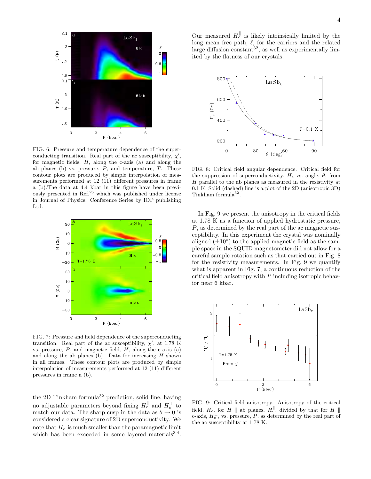

FIG. 6: Pressure and temperature dependence of the superconducting transition. Real part of the ac susceptibility,  $\chi'$ , for magnetic fields,  $H$ , along the c-axis (a) and along the ab planes (b) vs. pressure,  $P$ , and temperature,  $T$ . These contour plots are produced by simple interpolation of measurements performed at 12 (11) different pressures in frame a (b).The data at 4.4 kbar in this figure have been previously presented in Ref.<sup>25</sup> which was published under license in Journal of Physics: Conference Series by IOP publishing Ltd.



FIG. 7: Pressure and field dependence of the superconducting transition. Real part of the ac susceptibility,  $\chi'$ , at 1.78 K vs. pressure,  $P$ , and magnetic field,  $H$ , along the c-axis (a) and along the ab planes (b). Data for increasing  $H$  shown in all frames. These contour plots are produced by simple interpolation of measurements performed at 12 (11) different pressures in frame a (b).

the 2D Tinkham formula<sup>32</sup> prediction, solid line, having no adjustable parameters beyond fixing  $H_c^{\parallel}$  and  $H_c^{\perp}$  to match our data. The sharp cusp in the data as  $\theta \rightarrow 0$  is considered a clear signature of 2D superconductivity. We note that  $H_c^{\parallel}$  is much smaller than the paramagnetic limit which has been exceeded in some layered materials<sup>3,4</sup>.

Our measured  $H_c^{\parallel}$  is likely intrinsically limited by the long mean free path,  $\ell$ , for the carriers and the related large diffusion constant<sup>32</sup>, as well as experimentally limited by the flatness of our crystals.



FIG. 8: Critical field angular dependence. Critical field for the suppression of superconductivity,  $H_c$  vs. angle,  $\theta$ , from H parallel to the ab planes as measured in the resistivity at 0.1 K. Solid (dashed) line is a plot of the 2D (anisotropic 3D) Tinkham formula<sup>32</sup>.

In Fig. 9 we present the anisotropy in the critical fields at 1.78 K as a function of applied hydrostatic pressure, P, as determined by the real part of the ac magnetic susceptibility. In this experiment the crystal was nominally aligned  $(\pm 10^o)$  to the applied magnetic field as the sample space in the SQUID magnetometer did not allow for a careful sample rotation such as that carried out in Fig. 8 for the resistivity measurements. In Fig. 9 we quantify what is apparent in Fig. 7, a continuous reduction of the critical field anisotropy with P including isotropic behavior near 6 kbar.



FIG. 9: Critical field anisotropy. Anisotropy of the critical field,  $H_c$ , for H || ab planes,  $H_c^{\parallel}$ , divided by that for H || c-axis,  $H_c^{\perp}$ , vs. pressure, P, as determined by the real part of the ac susceptibility at 1.78 K.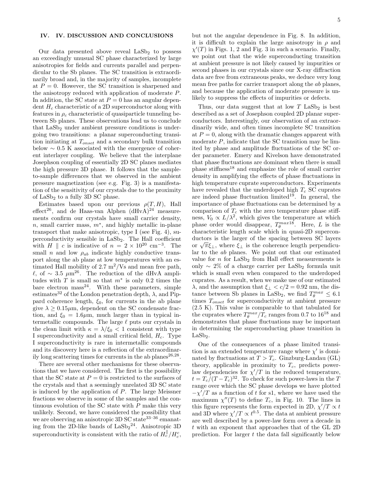#### IV. IV. DISCUSSION AND CONCLUSIONS

Our data presented above reveal  $\text{LaSb}_2$  to possess an exceedingly unusual SC phase characterized by large anisotropies for fields and currents parallel and perpendicular to the Sb planes. The SC transition is extraordinarily broad and, in the majority of samples, incomplete at  $P = 0$ . However, the SC transition is sharpened and the anisotropy reduced with application of moderate P. In addition, the SC state at  $P = 0$  has an angular dependent  $H_c$  characteristic of a 2D superconductor along with features in  $\rho_c$  characteristic of quasiparticle tunneling between Sb planes. These observations lead us to conclude that LaSb<sub>2</sub> under ambient pressure conditions is undergoing two transitions: a planar superconducting transition initiating at  $T_{onset}$  and a secondary bulk transition below  $\sim 0.5$  K associated with the emergence of coherent interlayer coupling. We believe that the interplane Josephson coupling of essentially 2D SC planes mediates the high pressure 3D phase. It follows that the sampleto-sample differences that we observed in the ambient pressure magnetization (see e.g. Fig. 3) is a manifestation of the sensitivity of our crystals due to the proximity of  $LaSb<sub>2</sub>$  to a fully 3D SC phase.

Estimates based upon our previous  $\rho(T, H)$ , Hall effect<sup>26</sup>, and de Haas-van Alphen  $(dHvA)^{24}$  measurements confirm our crystals have small carrier density, n, small carrier mass,  $m^*$ , and highly metallic in-plane transport that make anisotropic, type I (see Fig. 4), superconductivity sensible in LaSb2. The Hall coefficient with  $H \parallel c$  is indicative of  $n = 2 \times 10^{20}$  cm<sup>-3</sup>. The small n and low  $\rho_{ab}$  indicate highly conductive transport along the ab plane at low temperatures with an estimated Hall mobility of 2.7  $\rm m^2/Vs$  and mean free path, <sup>ℓ</sup>, of <sup>∼</sup> <sup>3</sup>.<sup>5</sup> <sup>µ</sup>m<sup>26</sup>. The reduction of the dHvA amplitudes with  $T$  is small so that  $m^*$  is only 0.2 times the bare electron mass<sup>24</sup>. With these parameters, simple estimates<sup>32</sup> of the London penetration depth,  $\lambda$ , and Pippard coherence length,  $\xi_0$ , for currents in the ab plane give  $\lambda \geq 0.15 \mu m$ , dependent on the SC condensate fraction, and  $\xi_0 = 1.6 \mu m$ , much larger than in typical intermetallic compounds. The large  $\ell$  puts our crystals in the clean limit with  $\kappa = \lambda/\xi_0 < 1$  consistent with type I superconductivity and a small critical field,  $H_c$ . Type I superconductivity is rare in intermetallic compounds and its discovery here is a reflection of the extraordinarily long scattering times for currents in the ab planes<sup>26,28</sup>.

There are several other mechanisms for these observations that we have considered. The first is the possibility that the SC state at  $P = 0$  is restricted to the surfaces of the crystals and that a seemingly unrelated 3D SC state is induced by the application of P. The large Meissner fractions we observe in some of the samples and the continuous evolution of the SC state with  $P$  make this very unlikely. Second, we have considered the possibility that we are observing an anisotropic 3D SC state<sup>33-36</sup> emanating from the 2D-like bands of  $\text{LaSb}_2^{\,24}$ . Anisotropic 3D superconductivity is consistent with the ratio of  $H_c^{\parallel}/H_c^c$ ,

but not the angular dependence in Fig. 8. In addition, it is difficult to explain the large anisotropy in  $\rho$  and  $\chi'(T)$  in Figs. 1, 2 and Fig. 3 in such a scenario. Finally, we point out that the wide superconducting transition at ambient pressure is not likely caused by impurities or second phases in our crystals since our X-ray diffraction data are free from extraneous peaks, we deduce very long mean free paths for carrier transport along the ab planes, and because the application of moderate pressure is unlikely to suppress the effects of impurities or defects.

Thus, our data suggest that at low  $T$  LaSb<sub>2</sub> is best described as a set of Josephson coupled 2D planar superconductors. Interestingly, our observation of an extraordinarily wide, and often times incomplete SC transition at  $P = 0$ , along with the dramatic changes apparent with moderate  $P$ , indicate that the SC transition may be limited by phase and amplitude fluctuations of the SC order parameter. Emery and Kivelson have demonstrated that phase fluctuations are dominant when there is small phase stiffness<sup>18</sup> and emphasize the role of small carrier density in amplifying the effects of phase fluctuations in high temperature cuprate superconductors. Experiments have revealed that the underdoped high  $T_c$  SC cuprates are indeed phase fluctuation limited<sup>19</sup>. In general, the importance of phase fluctuations can be determined by a comparison of  $T_c$  with the zero temperature phase stiffness,  $V_0 \propto L/\lambda^2$ , which gives the temperature at which phase order would disappear,  $T_{\theta}^{max18}$ . Here, L is the characteristic length scale which in quasi-2D superconductors is the larger of the spacing between SC layers or  $\sqrt{\pi} \xi_{\perp}$ , where  $\xi_{\perp}$  is the coherence length perpendicular to the ab planes. We point out that our estimated value for  $n$  for  $\text{LaSb}_2$  from Hall effect measurements is only  $\sim$  2% of a charge carrier per LaSb<sub>2</sub> formula unit which is small even when compared to the underdoped cuprates. As a result, when we make use of our estimated λ, and the assumption that  $ξ_⊥ < c/2 = 0.92$  nm, the distance between Sb planes in LaSb<sub>2</sub>, we find  $T_{\theta}^{max} \leq 6.1$ times  $T_{onset}$  for superconductivity at ambient pressure (2.5 K). This value is comparable to that tabulated for the cuprates where  $T_{\theta}^{max}/T_c$  ranges from 0.7 to 16<sup>18</sup> and demonstrates that phase fluctuations may be important in determining the superconducting phase transition in  $LaSb<sub>2</sub>$ .

One of the consequences of a phase limited transition is an extended temperature range where  $\chi'$  is dominated by fluctuations at  $T > T_c$ . Ginzburg-Landau (GL) theory, applicable in proximity to  $T_c$ , predicts powerlaw dependencies for  $\chi'/T$  in the reduced temperature,  $t = T_c/(T - T_c)^{32}$ . To check for such power-laws in the T range over which the SC phase develops we have plotted  $-\chi'/T$  as a function of t for s1, where we have used the maximum  $\chi''(T)$  to define  $T_c$ , in Fig. 10. The lines in this figure represents the form expected in 2D,  $\chi'/T \propto t$ and 3D where  $\chi'/T \propto t^{0.5}$ . The data at ambient pressure are well described by a power-law form over a decade in t with an exponent that approaches that of the GL 2D prediction. For larger  $t$  the data fall significantly below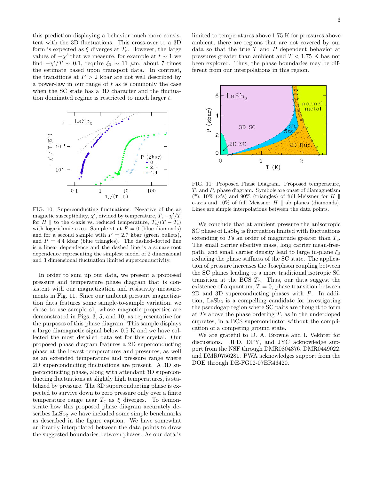this prediction displaying a behavior much more consistent with the 3D fluctuations. This cross-over to a 3D form is expected as  $\xi$  diverges at  $T_c$ . However, the large values of  $-\chi'$  that we measure, for example at  $t \sim 1$  we find  $-\chi'/T \sim 0.1$ , require  $\xi_0 \sim 11 \mu m$ , about 7 times the estimate based upon transport data. In contrast, the transitions at  $P > 2$  kbar are not well described by a power-law in our range of  $t$  as is commonly the case when the SC state has a 3D character and the fluctuation dominated regime is restricted to much larger t.



FIG. 10: Superconducting fluctuations. Negative of the ac magnetic susceptibility,  $\chi'$ , divided by temperature,  $T, -\chi'/T$ for H || to the c-axis vs. reduced temperature,  $T_c/(T - T_c)$ with logarithmic axes. Sample s1 at  $P = 0$  (blue diamonds) and for a second sample with  $P = 2.7$  kbar (green bullets), and  $P = 4.4$  kbar (blue triangles). The dashed-dotted line is a linear dependence and the dashed line is a square-root dependence representing the simplest model of 2 dimensional and 3 dimensional fluctuation limited superconductivity.

In order to sum up our data, we present a proposed pressure and temperature phase diagram that is consistent with our magnetization and resistivity measurements in Fig. 11. Since our ambient pressure magnetization data features some sample-to-sample variation, we chose to use sample s1, whose magnetic properties are demonstrated in Figs. 3, 5, and 10, as representative for the purposes of this phase diagram. This sample displays a large diamagnetic signal below 0.5 K and we have collected the most detailed data set for this crystal. Our proposed phase diagram features a 2D superconducting phase at the lowest temperatures and pressures, as well as an extended temperature and pressure range where 2D superconducting fluctuations are present. A 3D superconducting phase, along with attendant 3D superconducting fluctuations at slightly high temperatures, is stabilized by pressure. The 3D superconducting phase is expected to survive down to zero pressure only over a finite temperature range near  $T_c$  as  $\xi$  diverges. To demonstrate how this proposed phase diagram accurately describes LaSb<sub>2</sub> we have included some simple benchmarks as described in the figure caption. We have somewhat arbitrarily interpolated between the data points to draw the suggested boundaries between phases. As our data is

limited to temperatures above 1.75 K for pressures above ambient, there are regions that are not covered by our data so that the true  $T$  and  $P$  dependent behavior at pressures greater than ambient and  $T < 1.75$  K has not been explored. Thus, the phase boundaries may be different from our interpolations in this region.



FIG. 11: Proposed Phase Diagram. Proposed temperature, T, and P, phase diagram. Symbols are onset of diamagnetism (\*),  $10\%$  (x's) and  $90\%$  (triangles) of full Meissner for H || c-axis and 10% of full Meissner  $H \parallel$  ab planes (diamonds). Lines are simple interpolations between the data points.

We conclude that at ambient pressure the anisotropic  $SC$  phase of  $Lasb<sub>2</sub>$  is fluctuation limited with fluctuations extending to Ts an order of magnitude greater than  $T_c$ . The small carrier effective mass, long carrier mean-freepath, and small carrier density lead to large in-plane  $\xi_0$ reducing the phase stiffness of the SC state. The application of pressure increases the Josephson coupling between the SC planes leading to a more traditional isotropic SC transition at the BCS  $T_c$ . Thus, our data suggest the existence of a quantum,  $T = 0$ , phase transition between 2D and 3D superconducting phases with P. In addition,  $LaSb<sub>2</sub>$  is a compelling candidate for investigating the pseudogap region where SC pairs are thought to form at  $T_s$  above the phase ordering  $T_s$ , as in the underdoped cuprates, in a BCS superconductor without the complication of a competing ground state.

We are grateful to D. A. Browne and I. Vekhter for discussions. JFD, DPY, and JYC acknowledge support from the NSF through DMR0804376, DMR0449022, and DMR0756281. PWA acknowledges support from the DOE through DE-FG02-07ER46420.